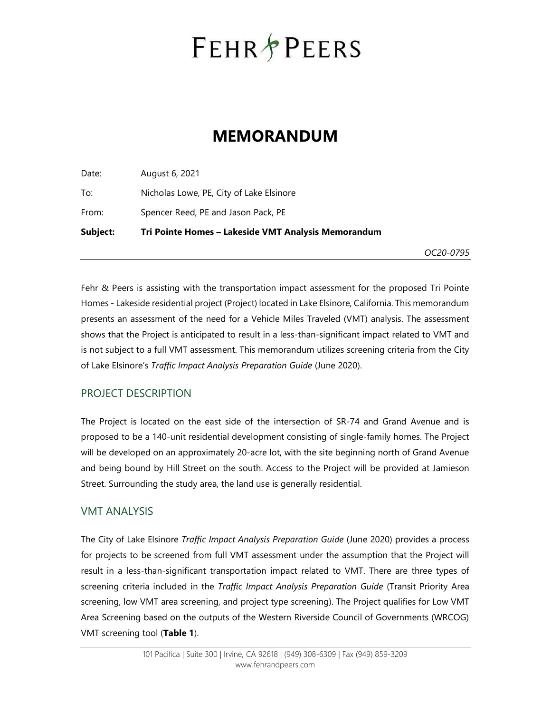## **FEHR PEERS**

### MEMORANDUM

Date: August 6, 2021 To: Nicholas Lowe, PE, City of Lake Elsinore From: Spencer Reed, PE and Jason Pack, PE Subject: Tri Pointe Homes – Lakeside VMT Analysis Memorandum

OC20-0795

Fehr & Peers is assisting with the transportation impact assessment for the proposed Tri Pointe Homes - Lakeside residential project (Project) located in Lake Elsinore, California. This memorandum presents an assessment of the need for a Vehicle Miles Traveled (VMT) analysis. The assessment shows that the Project is anticipated to result in a less-than-significant impact related to VMT and is not subject to a full VMT assessment. This memorandum utilizes screening criteria from the City of Lake Elsinore's Traffic Impact Analysis Preparation Guide (June 2020).

#### PROJECT DESCRIPTION

The Project is located on the east side of the intersection of SR-74 and Grand Avenue and is proposed to be a 140-unit residential development consisting of single-family homes. The Project will be developed on an approximately 20-acre lot, with the site beginning north of Grand Avenue and being bound by Hill Street on the south. Access to the Project will be provided at Jamieson Street. Surrounding the study area, the land use is generally residential.

#### VMT ANALYSIS

The City of Lake Elsinore Traffic Impact Analysis Preparation Guide (June 2020) provides a process for projects to be screened from full VMT assessment under the assumption that the Project will result in a less-than-significant transportation impact related to VMT. There are three types of screening criteria included in the Traffic Impact Analysis Preparation Guide (Transit Priority Area screening, low VMT area screening, and project type screening). The Project qualifies for Low VMT Area Screening based on the outputs of the Western Riverside Council of Governments (WRCOG) VMT screening tool (Table 1).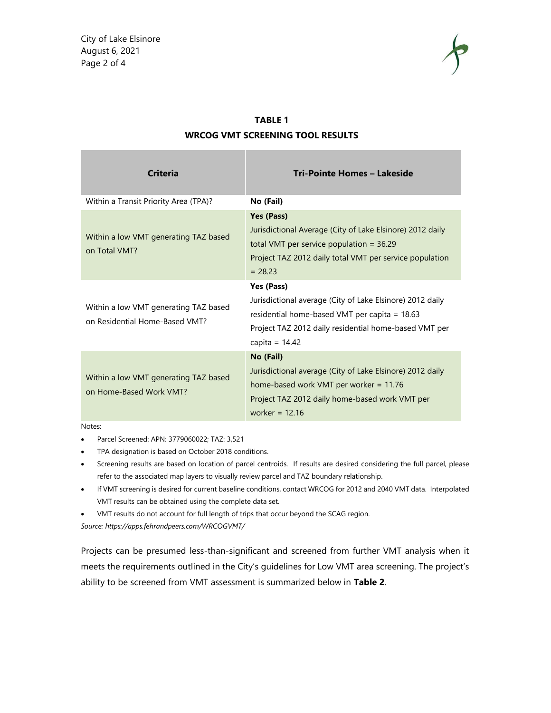

#### TABLE 1 WRCOG VMT SCREENING TOOL RESULTS

| <b>Criteria</b>                                                         | Tri-Pointe Homes - Lakeside                                                                                                                                                                           |
|-------------------------------------------------------------------------|-------------------------------------------------------------------------------------------------------------------------------------------------------------------------------------------------------|
| Within a Transit Priority Area (TPA)?                                   | No (Fail)                                                                                                                                                                                             |
| Within a low VMT generating TAZ based<br>on Total VMT?                  | Yes (Pass)<br>Jurisdictional Average (City of Lake Elsinore) 2012 daily<br>total VMT per service population = $36.29$<br>Project TAZ 2012 daily total VMT per service population<br>$= 28.23$         |
| Within a low VMT generating TAZ based<br>on Residential Home-Based VMT? | Yes (Pass)<br>Jurisdictional average (City of Lake Elsinore) 2012 daily<br>residential home-based VMT per capita = 18.63<br>Project TAZ 2012 daily residential home-based VMT per<br>capita = $14.42$ |
| Within a low VMT generating TAZ based<br>on Home-Based Work VMT?        | No (Fail)<br>Jurisdictional average (City of Lake Elsinore) 2012 daily<br>home-based work VMT per worker = $11.76$<br>Project TAZ 2012 daily home-based work VMT per<br>worker = $12.16$              |

Notes:

- Parcel Screened: APN: 3779060022; TAZ: 3,521
- TPA designation is based on October 2018 conditions.
- Screening results are based on location of parcel centroids. If results are desired considering the full parcel, please refer to the associated map layers to visually review parcel and TAZ boundary relationship.
- If VMT screening is desired for current baseline conditions, contact WRCOG for 2012 and 2040 VMT data. Interpolated VMT results can be obtained using the complete data set.
- VMT results do not account for full length of trips that occur beyond the SCAG region.

Source: https://apps.fehrandpeers.com/WRCOGVMT/

Projects can be presumed less-than-significant and screened from further VMT analysis when it meets the requirements outlined in the City's guidelines for Low VMT area screening. The project's ability to be screened from VMT assessment is summarized below in Table 2.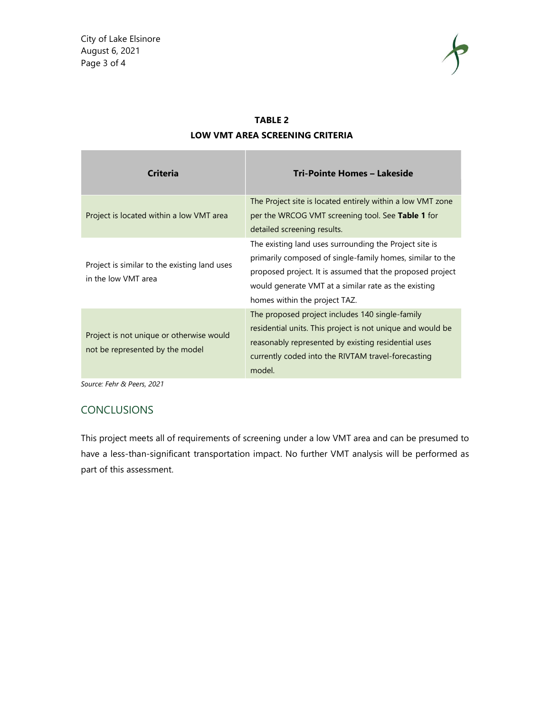

| <b>Criteria</b>                                                             | Tri-Pointe Homes - Lakeside                                                                                                                                                                                                                                               |
|-----------------------------------------------------------------------------|---------------------------------------------------------------------------------------------------------------------------------------------------------------------------------------------------------------------------------------------------------------------------|
| Project is located within a low VMT area                                    | The Project site is located entirely within a low VMT zone<br>per the WRCOG VMT screening tool. See Table 1 for<br>detailed screening results.                                                                                                                            |
| Project is similar to the existing land uses<br>in the low VMT area         | The existing land uses surrounding the Project site is<br>primarily composed of single-family homes, similar to the<br>proposed project. It is assumed that the proposed project<br>would generate VMT at a similar rate as the existing<br>homes within the project TAZ. |
| Project is not unique or otherwise would<br>not be represented by the model | The proposed project includes 140 single-family<br>residential units. This project is not unique and would be<br>reasonably represented by existing residential uses<br>currently coded into the RIVTAM travel-forecasting<br>model.                                      |

#### TABLE 2 LOW VMT AREA SCREENING CRITERIA

Source: Fehr & Peers, 2021

#### **CONCLUSIONS**

This project meets all of requirements of screening under a low VMT area and can be presumed to have a less-than-significant transportation impact. No further VMT analysis will be performed as part of this assessment.